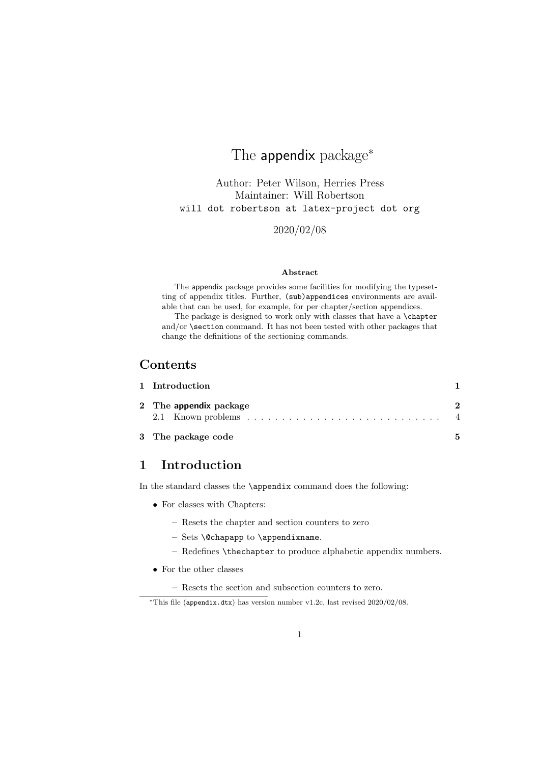# The appendix package<sup>\*</sup>

Author: Peter Wilson, Herries Press Maintainer: Will Robertson will dot robertson at latex-project dot org

2020/02/08

## Abstract

The appendix package provides some facilities for modifying the typesetting of appendix titles. Further, (sub)appendices environments are available that can be used, for example, for per chapter/section appendices.

The package is designed to work only with classes that have a \chapter and/or \section command. It has not been tested with other packages that change the definitions of the sectioning commands.

## Contents

| 1 Introduction         |   |
|------------------------|---|
| 2 The appendix package |   |
| 3 The package code     | 5 |

## 1 Introduction

In the standard classes the \appendix command does the following:

- For classes with Chapters:
	- Resets the chapter and section counters to zero
	- Sets \@chapapp to \appendixname.
	- Redefines \thechapter to produce alphabetic appendix numbers.
- For the other classes

– Resets the section and subsection counters to zero.

<sup>∗</sup>This file (appendix.dtx) has version number v1.2c, last revised 2020/02/08.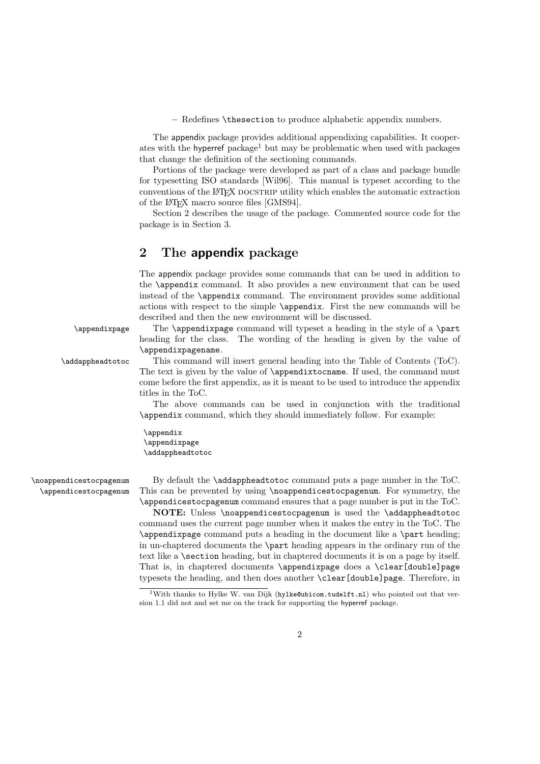– Redefines \thesection to produce alphabetic appendix numbers.

The appendix package provides additional appendixing capabilities. It cooperates with the hyperref package<sup>1</sup> but may be problematic when used with packages that change the definition of the sectioning commands.

Portions of the package were developed as part of a class and package bundle for typesetting ISO standards [Wil96]. This manual is typeset according to the conventions of the LAT<sub>EX</sub> DOCSTRIP utility which enables the automatic extraction of the LATEX macro source files [GMS94].

Section 2 describes the usage of the package. Commented source code for the package is in Section 3.

## 2 The appendix package

The appendix package provides some commands that can be used in addition to the \appendix command. It also provides a new environment that can be used instead of the \appendix command. The environment provides some additional actions with respect to the simple \appendix. First the new commands will be described and then the new environment will be discussed.

\appendixpage The \appendixpage command will typeset a heading in the style of a \part heading for the class. The wording of the heading is given by the value of \appendixpagename.

\addappheadtotoc This command will insert general heading into the Table of Contents (ToC). The text is given by the value of \appendixtocname. If used, the command must come before the first appendix, as it is meant to be used to introduce the appendix titles in the ToC.

> The above commands can be used in conjunction with the traditional \appendix command, which they should immediately follow. For example:

\appendix \appendixpage \addappheadtotoc

\noappendicestocpagenum By default the \addappheadtotoc command puts a page number in the ToC. \appendicestocpagenum This can be prevented by using \noappendicestocpagenum. For symmetry, the \appendicestocpagenum command ensures that a page number is put in the ToC.

> NOTE: Unless \noappendicestocpagenum is used the \addappheadtotoc command uses the current page number when it makes the entry in the ToC. The \appendixpage command puts a heading in the document like a \part heading; in un-chaptered documents the \part heading appears in the ordinary run of the text like a **\section** heading, but in chaptered documents it is on a page by itself. That is, in chaptered documents \appendixpage does a \clear[double]page typesets the heading, and then does another \clear[double]page. Therefore, in

<sup>&</sup>lt;sup>1</sup>With thanks to Hylke W. van Dijk (hylke@ubicom.tudelft.nl) who pointed out that version 1.1 did not and set me on the track for supporting the hyperref package.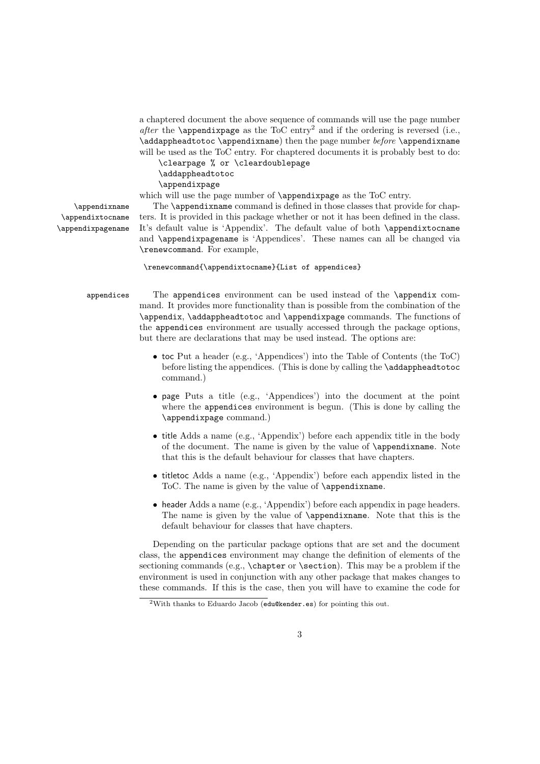a chaptered document the above sequence of commands will use the page number after the **\appendixpage** as the ToC entry<sup>2</sup> and if the ordering is reversed (i.e., \addappheadtotoc \appendixname) then the page number  $before$  \appendixname will be used as the ToC entry. For chaptered documents it is probably best to do:

\clearpage % or \cleardoublepage \addappheadtotoc

\appendixpage

which will use the page number of  $\operatorname{supp}$  as the ToC entry.

\appendixtocname \appendixpagename

\appendixname The \appendixname command is defined in those classes that provide for chap ters. It is provided in this package whether or not it has been defined in the class. It's default value is 'Appendix'. The default value of both \appendixtocname and \appendixpagename is 'Appendices'. These names can all be changed via \renewcommand. For example,

### \renewcommand{\appendixtocname}{List of appendices}

appendices The appendices environment can be used instead of the \appendix command. It provides more functionality than is possible from the combination of the \appendix, \addappheadtotoc and \appendixpage commands. The functions of the appendices environment are usually accessed through the package options, but there are declarations that may be used instead. The options are:

- toc Put a header (e.g., 'Appendices') into the Table of Contents (the ToC) before listing the appendices. (This is done by calling the \addappheadtotoc command.)
- page Puts a title (e.g., 'Appendices') into the document at the point where the appendices environment is begun. (This is done by calling the \appendixpage command.)
- title Adds a name (e.g., 'Appendix') before each appendix title in the body of the document. The name is given by the value of \appendixname. Note that this is the default behaviour for classes that have chapters.
- titletoc Adds a name (e.g., 'Appendix') before each appendix listed in the ToC. The name is given by the value of \appendixname.
- header Adds a name (e.g., 'Appendix') before each appendix in page headers. The name is given by the value of **\appendixname**. Note that this is the default behaviour for classes that have chapters.

Depending on the particular package options that are set and the document class, the appendices environment may change the definition of elements of the sectioning commands (e.g., \chapter or \section). This may be a problem if the environment is used in conjunction with any other package that makes changes to these commands. If this is the case, then you will have to examine the code for

<sup>2</sup>With thanks to Eduardo Jacob (edu@kender.es) for pointing this out.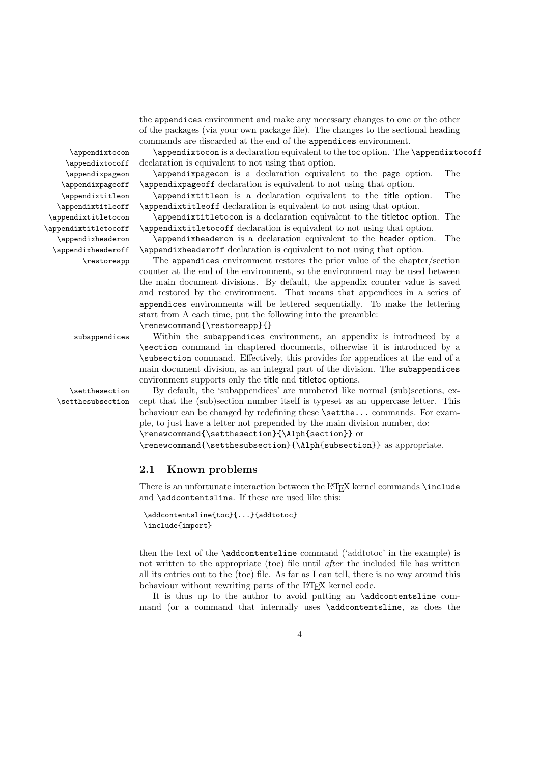the appendices environment and make any necessary changes to one or the other of the packages (via your own package file). The changes to the sectional heading commands are discarded at the end of the appendices environment.

\appendixtocon \appendixtocon is a declaration equivalent to the toc option. The \appendixtocoff \appendixtocoff declaration is equivalent to not using that option.

\appendixpageon \appendixpagecon is a declaration equivalent to the page option. The \appendixpageoff \appendixpageoff declaration is equivalent to not using that option.

\appendixtitleon \appendixtitleon is a declaration equivalent to the title option. The \appendixtitleoff \appendixtitleoff declaration is equivalent to not using that option.

\appendixtitletocon \appendixtitletocon is a declaration equivalent to the titletoc option. The \appendixtitletocoff \appendixtitletocoff declaration is equivalent to not using that option.

\appendixheaderon \appendixheaderon is a declaration equivalent to the header option. The \appendixheaderoff \appendixheaderoff declaration is equivalent to not using that option.

\restoreapp The appendices environment restores the prior value of the chapter/section counter at the end of the environment, so the environment may be used between the main document divisions. By default, the appendix counter value is saved and restored by the environment. That means that appendices in a series of appendices environments will be lettered sequentially. To make the lettering start from A each time, put the following into the preamble: \renewcommand{\restoreapp}{}

subappendices Within the subappendices environment, an appendix is introduced by a \section command in chaptered documents, otherwise it is introduced by a \subsection command. Effectively, this provides for appendices at the end of a main document division, as an integral part of the division. The subappendices environment supports only the title and titletoc options.

\setthesection By default, the 'subappendices' are numbered like normal (sub)sections, ex- \setthesubsection cept that the (sub)section number itself is typeset as an uppercase letter. This behaviour can be changed by redefining these \setthe... commands. For example, to just have a letter not prepended by the main division number, do:

\renewcommand{\setthesection}{\Alph{section}} or

\renewcommand{\setthesubsection}{\Alph{subsection}} as appropriate.

## 2.1 Known problems

There is an unfortunate interaction between the L<sup>A</sup>T<sub>E</sub>X kernel commands \include and **\addcontentsline**. If these are used like this:

```
\addcontentsline{toc}{...}{addtotoc}
\include{import}
```
then the text of the \addcontentsline command ('addtotoc' in the example) is not written to the appropriate (toc) file until after the included file has written all its entries out to the (toc) file. As far as I can tell, there is no way around this behaviour without rewriting parts of the L<sup>AT</sup>EX kernel code.

It is thus up to the author to avoid putting an \addcontentsline command (or a command that internally uses \addcontentsline, as does the

4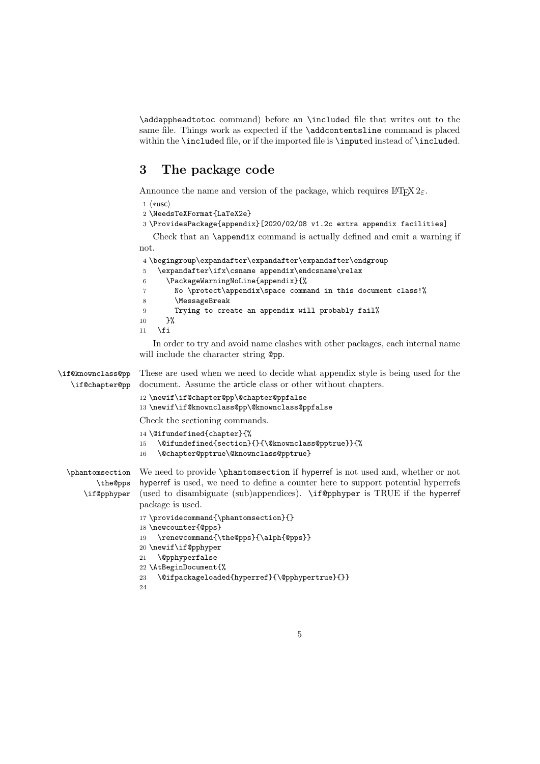\addappheadtotoc command) before an \included file that writes out to the same file. Things work as expected if the \addcontentsline command is placed within the \included file, or if the imported file is \inputed instead of \included.

## 3 The package code

Announce the name and version of the package, which requires  $\mathbb{L}\text{Tr}X \, 2_{\varepsilon}$ .

 $1$   $\langle$ \*usc $\rangle$ 

- 2 \NeedsTeXFormat{LaTeX2e}
- 3 \ProvidesPackage{appendix}[2020/02/08 v1.2c extra appendix facilities]

Check that an \appendix command is actually defined and emit a warning if not.

```
4 \begingroup\expandafter\expandafter\expandafter\endgroup
5 \expandafter\ifx\csname appendix\endcsname\relax
6 \PackageWarningNoLine{appendix}{%
7 No \protect\appendix\space command in this document class!%
8 \MessageBreak
9 Trying to create an appendix will probably fail%
10 }%
11 \quad \text{If}
```
In order to try and avoid name clashes with other packages, each internal name will include the character string  $Qpp$ .

\if@knownclass@pp \if@chapter@pp These are used when we need to decide what appendix style is being used for the document. Assume the article class or other without chapters.

```
12 \newif\if@chapter@pp\@chapter@ppfalse
13 \newif\if@knownclass@pp\@knownclass@ppfalse
```
Check the sectioning commands.

```
14 \@ifundefined{chapter}{%
```

```
15 \@ifundefined{section}{}{\@knownclass@pptrue}}{%
```
16 \@chapter@pptrue\@knownclass@pptrue}

\phantomsection \the@pps \if@pphyper We need to provide \phantomsection if hyperref is not used and, whether or not hyperref is used, we need to define a counter here to support potential hyperrefs (used to disambiguate (sub)appendices). \if@pphyper is TRUE if the hyperref package is used.

```
17 \providecommand{\phantomsection}{}
18 \newcounter{@pps}
19 \renewcommand{\the@pps}{\alph{@pps}}
20 \newif\if@pphyper
21 \@pphyperfalse
22 \AtBeginDocument{%
23 \@ifpackageloaded{hyperref}{\@pphypertrue}{}}
24
```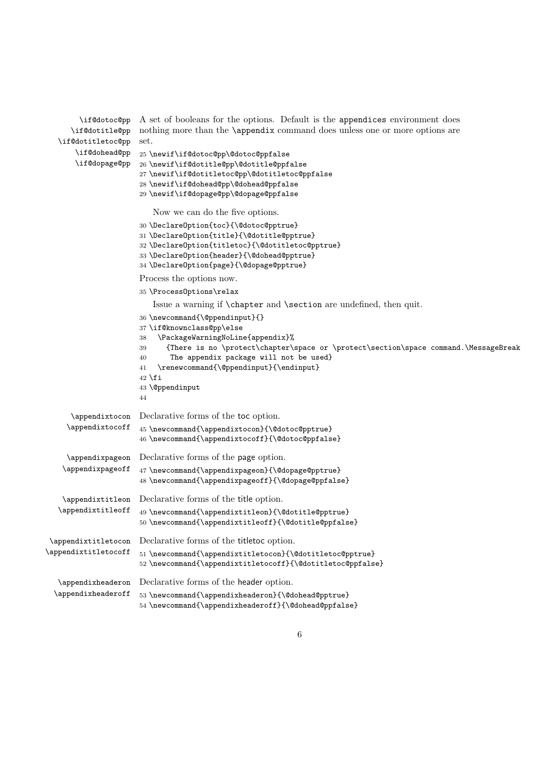```
\if@dotoc@pp
A set of booleans for the options. Default is the appendices environment does
      \if@dotitle@pp
nothing more than the \appendix command does unless one or more options are
   \if@dotitletoc@pp
set.
       \if@dohead@pp
25 \newif\if@dotoc@pp\@dotoc@ppfalse
       \if@dopage@pp
26 \newif\if@dotitle@pp\@dotitle@ppfalse
                      27 \newif\if@dotitletoc@pp\@dotitletoc@ppfalse
                      28 \newif\if@dohead@pp\@dohead@ppfalse
                      29 \newif\if@dopage@pp\@dopage@ppfalse
                         Now we can do the five options.
                      30 \DeclareOption{toc}{\@dotoc@pptrue}
                      31 \DeclareOption{title}{\@dotitle@pptrue}
                      32 \DeclareOption{titletoc}{\@dotitletoc@pptrue}
                      33 \DeclareOption{header}{\@dohead@pptrue}
                      34 \DeclareOption{page}{\@dopage@pptrue}
                      Process the options now.
                      35 \ProcessOptions\relax
                         Issue a warning if \chapter and \section are undefined, then quit.
                      36 \newcommand{\@ppendinput}{}
                      37 \if@knownclass@pp\else
                      38 \PackageWarningNoLine{appendix}%
                      39 {There is no \protect\chapter\space or \protect\section\space command.\MessageBreak
                      40 The appendix package will not be used}
                      41 \renewcommand{\@ppendinput}{\endinput}
                      42 \fi
                      43 \@ppendinput
                      44
      \appendixtocon
Declarative forms of the toc option.
     \appendixtocoff
                      45 \newcommand{\appendixtocon}{\@dotoc@pptrue}
                      46 \newcommand{\appendixtocoff}{\@dotoc@ppfalse}
     \appendixpageon
    \appendixpageoff
                      Declarative forms of the page option.
                      47 \newcommand{\appendixpageon}{\@dopage@pptrue}
                      48 \newcommand{\appendixpageoff}{\@dopage@ppfalse}
   \appendixtitleon
  \appendixtitleoff
                      Declarative forms of the title option.
                      49 \newcommand{\appendixtitleon}{\@dotitle@pptrue}
                      50 \newcommand{\appendixtitleoff}{\@dotitle@ppfalse}
 \appendixtitletocon
Declarative forms of the titletoc option.
\appendixtitletocoff
                      51 \newcommand{\appendixtitletocon}{\@dotitletoc@pptrue}
                      52 \newcommand{\appendixtitletocoff}{\@dotitletoc@ppfalse}
   \appendixheaderon
Declarative forms of the header option.
 \appendixheaderoff
                      53 \newcommand{\appendixheaderon}{\@dohead@pptrue}
                      54 \newcommand{\appendixheaderoff}{\@dohead@ppfalse}
```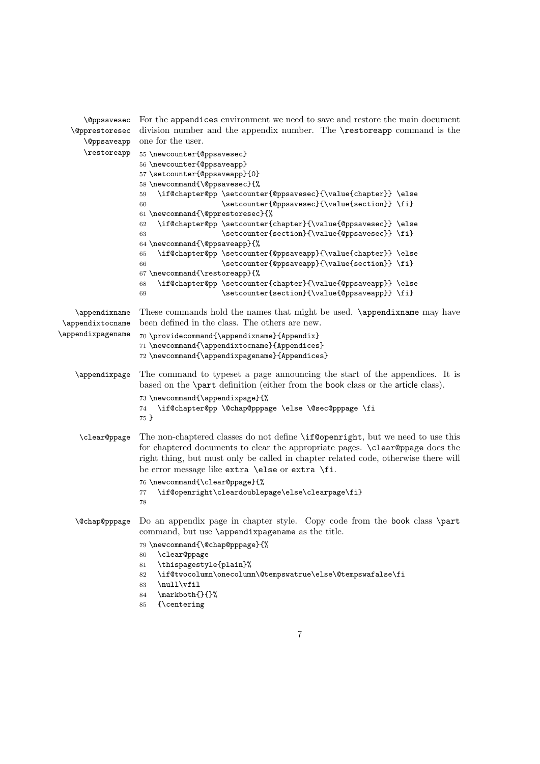| <i><b>\@ppsavesec</b></i>         | For the appendices environment we need to save and restore the main document                                               |  |  |  |  |  |  |  |  |
|-----------------------------------|----------------------------------------------------------------------------------------------------------------------------|--|--|--|--|--|--|--|--|
| <i><b>\@pprestoresec</b></i>      | division number and the appendix number. The <b>\restoreapp</b> command is the                                             |  |  |  |  |  |  |  |  |
| <b>\</b> @ppsaveapp               | one for the user.                                                                                                          |  |  |  |  |  |  |  |  |
| \restoreapp                       | 55 \newcounter{@ppsavesec}                                                                                                 |  |  |  |  |  |  |  |  |
|                                   | 56 \newcounter{@ppsaveapp}                                                                                                 |  |  |  |  |  |  |  |  |
|                                   | 57 \setcounter{@ppsaveapp}{0}                                                                                              |  |  |  |  |  |  |  |  |
|                                   | 58 \newcommand{\@ppsavesec}{%                                                                                              |  |  |  |  |  |  |  |  |
|                                   | \if@chapter@pp \setcounter{@ppsavesec}{\value{chapter}} \else<br>59                                                        |  |  |  |  |  |  |  |  |
|                                   | \setcounter{@ppsavesec}{\value{section}} \fi}<br>60                                                                        |  |  |  |  |  |  |  |  |
|                                   | 61 \newcommand{\@pprestoresec}{%                                                                                           |  |  |  |  |  |  |  |  |
|                                   | \if@chapter@pp \setcounter{chapter}{\value{@ppsavesec}} \else<br>62                                                        |  |  |  |  |  |  |  |  |
|                                   | \setcounter{section}{\value{@ppsavesec}} \fi}<br>63                                                                        |  |  |  |  |  |  |  |  |
|                                   | 64 \newcommand{\@ppsaveapp}{%                                                                                              |  |  |  |  |  |  |  |  |
|                                   | \if@chapter@pp \setcounter{@ppsaveapp}{\value{chapter}} \else<br>65                                                        |  |  |  |  |  |  |  |  |
|                                   | \setcounter{@ppsaveapp}{\value{section}} \fi}<br>66                                                                        |  |  |  |  |  |  |  |  |
|                                   | 67 \newcommand{\restoreapp}{%                                                                                              |  |  |  |  |  |  |  |  |
|                                   | \if@chapter@pp \setcounter{chapter}{\value{@ppsaveapp}} \else<br>68                                                        |  |  |  |  |  |  |  |  |
|                                   | \setcounter{section}{\value{@ppsaveapp}} \fi}<br>69                                                                        |  |  |  |  |  |  |  |  |
|                                   |                                                                                                                            |  |  |  |  |  |  |  |  |
| \appendixname<br>\appendixtocname | These commands hold the names that might be used. \appendixname may have<br>been defined in the class. The others are new. |  |  |  |  |  |  |  |  |
| \appendixpagename                 |                                                                                                                            |  |  |  |  |  |  |  |  |
|                                   | 70 \providecommand{\appendixname}{Appendix}                                                                                |  |  |  |  |  |  |  |  |
|                                   | 71 \newcommand{\appendixtocname}{Appendices}                                                                               |  |  |  |  |  |  |  |  |
|                                   | 72 \newcommand{\appendixpagename}{Appendices}                                                                              |  |  |  |  |  |  |  |  |
|                                   |                                                                                                                            |  |  |  |  |  |  |  |  |
|                                   |                                                                                                                            |  |  |  |  |  |  |  |  |
| \appendixpage                     | The command to typeset a page announcing the start of the appendices. It is                                                |  |  |  |  |  |  |  |  |
|                                   | based on the <b>\part</b> definition (either from the book class or the article class).                                    |  |  |  |  |  |  |  |  |
|                                   | 73 \newcommand{\appendixpage}{%                                                                                            |  |  |  |  |  |  |  |  |
|                                   | \if@chapter@pp \@chap@pppage \else \@sec@pppage \fi<br>74                                                                  |  |  |  |  |  |  |  |  |
|                                   | 75 }                                                                                                                       |  |  |  |  |  |  |  |  |
| \clear@ppage                      | The non-chaptered classes do not define \if@openright, but we need to use this                                             |  |  |  |  |  |  |  |  |
|                                   | for chaptered documents to clear the appropriate pages. \clear@ppage does the                                              |  |  |  |  |  |  |  |  |
|                                   | right thing, but must only be called in chapter related code, otherwise there will                                         |  |  |  |  |  |  |  |  |
|                                   | be error message like extra \else or extra \fi.                                                                            |  |  |  |  |  |  |  |  |
|                                   |                                                                                                                            |  |  |  |  |  |  |  |  |
|                                   | 76 \newcommand{\clear@ppage}{%<br>77                                                                                       |  |  |  |  |  |  |  |  |
|                                   | \if@openright\cleardoublepage\else\clearpage\fi}<br>78                                                                     |  |  |  |  |  |  |  |  |
|                                   |                                                                                                                            |  |  |  |  |  |  |  |  |
|                                   | \@chap@pppage Do an appendix page in chapter style. Copy code from the book class \part                                    |  |  |  |  |  |  |  |  |
|                                   | command, but use \appendixpagename as the title.                                                                           |  |  |  |  |  |  |  |  |
|                                   | 79 \newcommand{\@chap@pppage}{%                                                                                            |  |  |  |  |  |  |  |  |
|                                   | \clear@ppage<br>80                                                                                                         |  |  |  |  |  |  |  |  |
|                                   | \thispagestyle{plain}%<br>81                                                                                               |  |  |  |  |  |  |  |  |
|                                   | \if@twocolumn\onecolumn\@tempswatrue\else\@tempswafalse\fi<br>82                                                           |  |  |  |  |  |  |  |  |
|                                   | \null\vfil<br>83                                                                                                           |  |  |  |  |  |  |  |  |
|                                   | \markboth{}{}%<br>84<br>{\centering<br>85                                                                                  |  |  |  |  |  |  |  |  |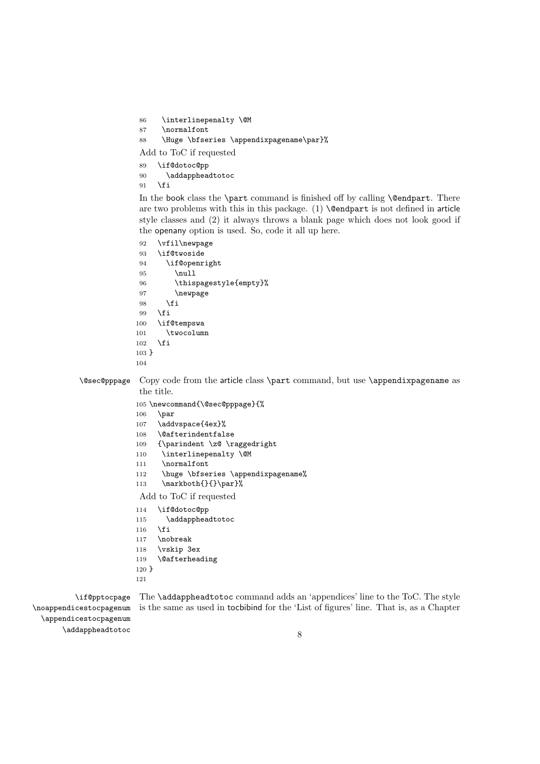```
86 \interlinepenalty \@M
```
87 \normalfont

```
88 \Huge \bfseries \appendixpagename\par}%
```
Add to ToC if requested

- 89 \if@dotoc@pp
- 90 \addappheadtotoc
- $91$  \fi

In the book class the  $\part$  command is finished off by calling  $\@$  endpart. There are two problems with this in this package.  $(1) \ \mathsf{Qendpart}$  is not defined in article style classes and (2) it always throws a blank page which does not look good if the openany option is used. So, code it all up here.

```
92 \vfil\newpage
93 \if@twoside
94 \if@openright
95 \null
96 \thispagestyle{empty}%
97 \newpage
98 \fi
99 \fi
100 \if@tempswa
101 \twocolumn
102 \overrightarrow{fi}103 }
104
```
\@sec@pppage Copy code from the article class \part command, but use \appendixpagename as the title.

```
105 \newcommand{\@sec@pppage}{%
106 \par
```
- 107 \addvspace{4ex}%
- 108 \@afterindentfalse
- 109 {\parindent \z@ \raggedright
- 110 \interlinepenalty \@M
- 111 \normalfont
- 112 \huge \bfseries \appendixpagename%
- 113 \markboth{}{}\par}%

Add to ToC if requested

- 114 \if@dotoc@pp
- 115 \addappheadtotoc
- 116  $\overrightarrow{fi}$
- 117 \nobreak
- 118 \vskip 3ex
- 119 \@afterheading
- 120 }
- 121

\if@pptocpage \noappendicestocpagenum \appendicestocpagenum \addappheadtotoc

The \addappheadtotoc command adds an 'appendices' line to the ToC. The style is the same as used in tocbibind for the 'List of figures' line. That is, as a Chapter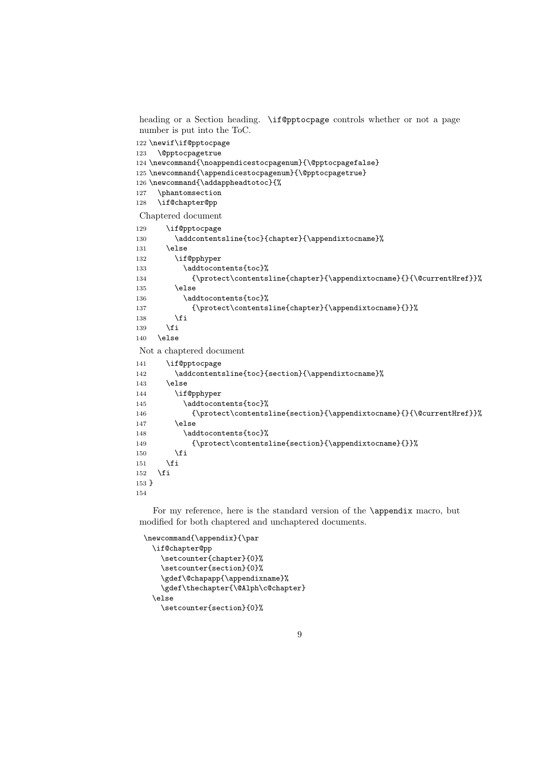heading or a Section heading. \if@pptocpage controls whether or not a page number is put into the ToC.

```
122 \newif\if@pptocpage
123 \@pptocpagetrue
124 \newcommand{\noappendicestocpagenum}{\@pptocpagefalse}
125 \newcommand{\appendicestocpagenum}{\@pptocpagetrue}
126 \newcommand{\addappheadtotoc}{%
127 \phantomsection
128 \if@chapter@pp
Chaptered document
129 \if@pptocpage
130 \addcontentsline{toc}{chapter}{\appendixtocname}%
131 \else
132 \if@pphyper
133 \addtocontents{toc}%
134 {\protect\contentsline{chapter}{\appendixtocname}{}{\@currentHref}}%
135 \else
136 \addtocontents{toc}%
137 {\protect\contentsline{chapter}{\appendixtocname}{}}%
138 \fi
139 \fi
140 \else
Not a chaptered document
141 \if@pptocpage
142 \addcontentsline{toc}{section}{\appendixtocname}%
143 \else
144 \if@pphyper
145 \addtocontents{toc}%
146 {\protect\contentsline{section}{\appendixtocname}{}{\@currentHref}}%
147 \else
148 \addtocontents{toc}%
149 {\protect\contentsline{section}{\appendixtocname}{}}%
150 \fi
151 \fi
152 \fi
153 }
154
```
For my reference, here is the standard version of the \appendix macro, but modified for both chaptered and unchaptered documents.

```
\newcommand{\appendix}{\par
 \if@chapter@pp
   \setcounter{chapter}{0}%
   \setcounter{section}{0}%
   \gdef\@chapapp{\appendixname}%
   \gdef\thechapter{\@Alph\c@chapter}
 \else
   \setcounter{section}{0}%
```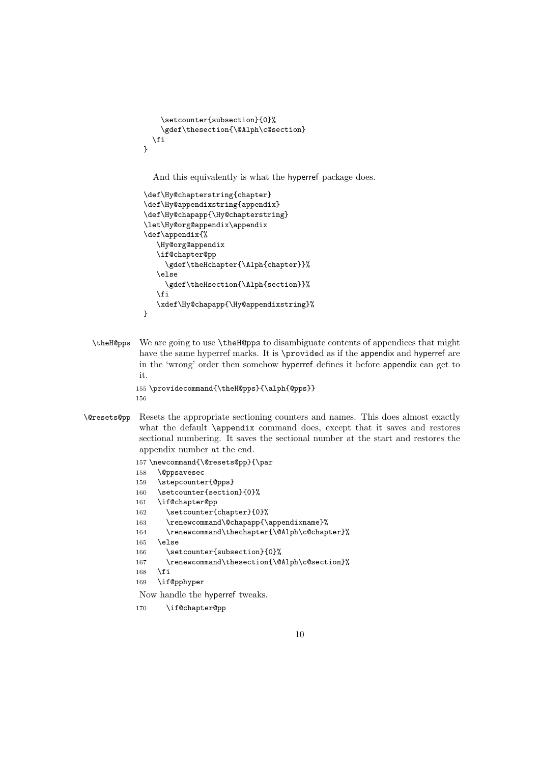```
\setcounter{subsection}{0}%
    \gdef\thesection{\@Alph\c@section}
  \fi
}
```
And this equivalently is what the hyperref package does.

```
\def\Hy@chapterstring{chapter}
\def\Hy@appendixstring{appendix}
\def\Hy@chapapp{\Hy@chapterstring}
\let\Hy@org@appendix\appendix
\def\appendix{%
   \Hy@org@appendix
   \if@chapter@pp
     \gdef\theHchapter{\Alph{chapter}}%
   \else
     \gdef\theHsection{\Alph{section}}%
   \fi
   \xdef\Hy@chapapp{\Hy@appendixstring}%
}
```
\theH@pps We are going to use \theH@pps to disambiguate contents of appendices that might have the same hyperref marks. It is \provided as if the appendix and hyperref are in the 'wrong' order then somehow hyperref defines it before appendix can get to it.

```
155 \providecommand{\theH@pps}{\alph{@pps}}
156
```
\@resets@pp Resets the appropriate sectioning counters and names. This does almost exactly what the default **\appendix** command does, except that it saves and restores sectional numbering. It saves the sectional number at the start and restores the appendix number at the end.

```
157 \newcommand{\@resets@pp}{\par
158 \@ppsavesec
159 \stepcounter{@pps}
160 \setcounter{section}{0}%
161 \if@chapter@pp
162 \setcounter{chapter}{0}%
163 \renewcommand\@chapapp{\appendixname}%
164 \renewcommand\thechapter{\@Alph\c@chapter}%
165 \else
166 \setcounter{subsection}{0}%
167 \renewcommand\thesection{\@Alph\c@section}%
168 \fi
169 \if@pphyper
```
Now handle the hyperref tweaks.

170 \if@chapter@pp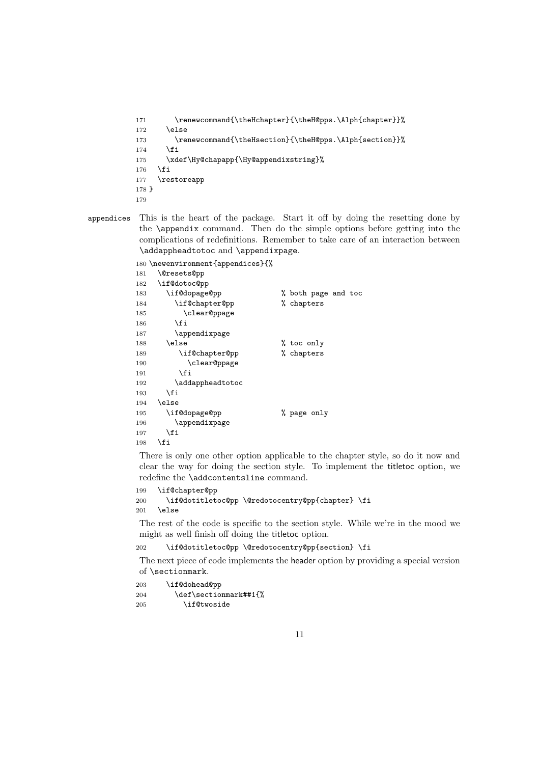```
171 \renewcommand{\theHchapter}{\theH@pps.\Alph{chapter}}%
172 \else
173 \renewcommand{\theHsection}{\theH@pps.\Alph{section}}%
174 \fi
175 \xdef\Hy@chapapp{\Hy@appendixstring}%
176 \fi
177 \restoreapp
178 }
179
```
appendices This is the heart of the package. Start it off by doing the resetting done by the \appendix command. Then do the simple options before getting into the complications of redefinitions. Remember to take care of an interaction between \addappheadtotoc and \appendixpage.

\newenvironment{appendices}{%

| 181 | <b>\@resets@pp</b> |                     |
|-----|--------------------|---------------------|
| 182 | \if@dotoc@pp       |                     |
| 183 | \if@dopage@pp      | % both page and toc |
| 184 | \if@chapter@pp     | % chapters          |
| 185 | \clear@ppage       |                     |
| 186 | \fi                |                     |
| 187 | \appendixpage      |                     |
| 188 | \else              | % toc only          |
| 189 | \if@chapter@pp     | % chapters          |
| 190 | \clear@ppage       |                     |
| 191 | <b>\fi</b>         |                     |
| 192 | \addappheadtotoc   |                     |
| 193 | \fi                |                     |
| 194 | \else              |                     |
| 195 | \if@dopage@pp      | % page only         |
| 196 | \appendixpage      |                     |
| 197 | \fi                |                     |
| 198 | \fi                |                     |

There is only one other option applicable to the chapter style, so do it now and clear the way for doing the section style. To implement the titletoc option, we redefine the \addcontentsline command.

```
199 \if@chapter@pp
200 \if@dotitletoc@pp \@redotocentry@pp{chapter} \fi
201 \else
```
The rest of the code is specific to the section style. While we're in the mood we might as well finish off doing the titletoc option.

```
202 \if@dotitletoc@pp \@redotocentry@pp{section} \fi
```
The next piece of code implements the header option by providing a special version of \sectionmark.

| 203 | \if@dohead@pp         |
|-----|-----------------------|
| 204 | \def\sectionmark##1{% |
| 205 | \if@twoside           |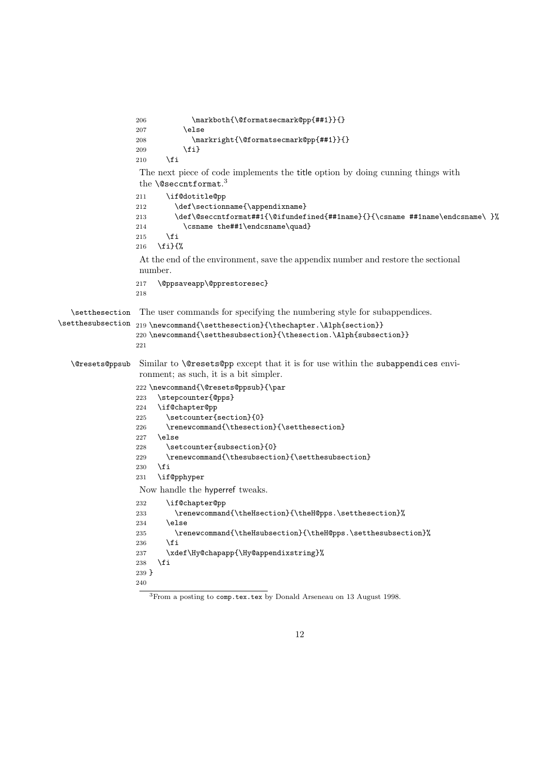```
206 \markboth{\@formatsecmark@pp{##1}}{}
                 207 \else
                 208 \markright{\@formatsecmark@pp{##1}}{}
                 209 \fi}
                 210 \mathbf{Y}The next piece of code implements the title option by doing cunning things with
                  the \@seccntformat.<sup>3</sup>
                 211 \if@dotitle@pp
                 212 \def\sectionname{\appendixname}
                 213 \def\@seccntformat##1{\@ifundefined{##1name}{}{\csname ##1name\endcsname\ }%
                 214 \csname the##1\endcsname\quad}
                 215 \fi
                 216 \fi}{%
                  At the end of the environment, save the appendix number and restore the sectional
                  number.
                 217 \@ppsaveapp\@pprestoresec}
                 218
  \setthesection
The user commands for specifying the numbering style for subappendices.
\setthesubsection
219 \newcommand{\setthesection}{\thechapter.\Alph{section}}
                 220 \newcommand{\setthesubsection}{\thesection.\Alph{subsection}}
                 221
  \@resets@ppsub Similar to \@resets@pp except that it is for use within the subappendices envi-
                  ronment; as such, it is a bit simpler.
                 222 \newcommand{\@resets@ppsub}{\par
                 223 \stepcounter{@pps}
                 224 \if@chapter@pp
                 225 \setcounter{section}{0}
                 226 \renewcommand{\thesection}{\setthesection}
                 227 \else
                 228 \setcounter{subsection}{0}
                 229 \renewcommand{\thesubsection}{\setthesubsection}
                 230 \quad \text{If}231 \if@pphyper
                  Now handle the hyperref tweaks.
                 232 \if@chapter@pp
                 233 \renewcommand{\theHsection}{\theH@pps.\setthesection}%
                 234 \else
                 235 \renewcommand{\theHsubsection}{\theH@pps.\setthesubsection}%
                 236 \fi
                 237 \xdef\Hy@chapapp{\Hy@appendixstring}%
                 238 \fi
                 239 }
                 240
                     3From a posting to comp.tex.tex by Donald Arseneau on 13 August 1998.
```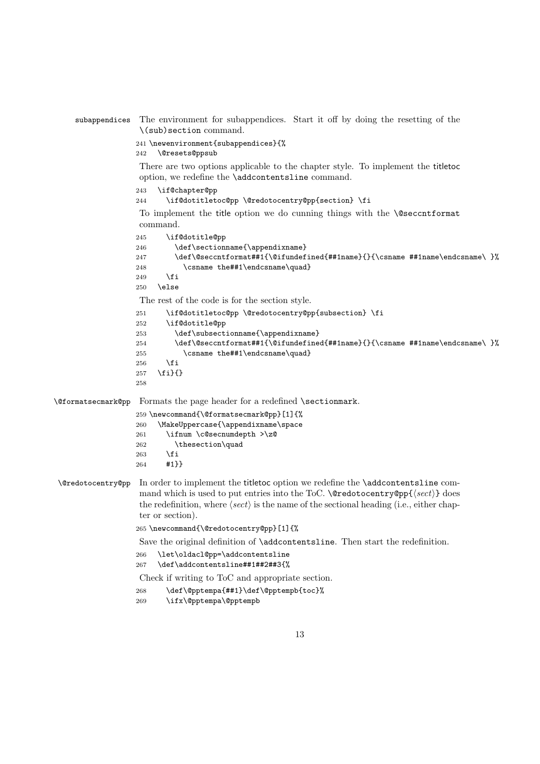subappendices The environment for subappendices. Start it off by doing the resetting of the \(sub)section command.

241 \newenvironment{subappendices}{%

242 \@resets@ppsub

There are two options applicable to the chapter style. To implement the titletoc option, we redefine the \addcontentsline command.

```
243 \if@chapter@pp
```
244 \if@dotitletoc@pp \@redotocentry@pp{section} \fi

To implement the title option we do cunning things with the \@seccntformat command.

```
245 \if@dotitle@pp
                     246 \def\sectionname{\appendixname}
                     247 \def\@seccntformat##1{\@ifundefined{##1name}{}{\csname ##1name\endcsname\ }%
                     248 \csname the##1\endcsname\quad}
                     249 \ifmmode \overline{249}\else \times 149 \times 149 \times \ifmmode \overline{249}\else \times 149 \times \ifmmode \overline{249}\else response to \fi250 \else
                      The rest of the code is for the section style.
                     251 \if@dotitletoc@pp \@redotocentry@pp{subsection} \fi
                     252 \if@dotitle@pp
                     253 \def\subsectionname{\appendixname}
                     254 \def\@seccntformat##1{\@ifundefined{##1name}{}{\csname ##1name\endcsname\ }%
                     255 \csname the##1\endcsname\quad}
                     256 \fi
                     257 \fi}{}
                     258
\@formatsecmark@pp Formats the page header for a redefined \sectionmark.
                     259 \newcommand{\@formatsecmark@pp}[1]{%
                     260 \MakeUppercase{\appendixname\space
                     261 \ifnum \c@secnumdepth >\z@
                     262 \theta<br>263 \fi
                             \chi_{\text{fi}}264 #1}}
 \@redotocentry@pp In order to implement the titletoc option we redefine the \addcontentsline com-
                      mand which is used to put entries into the ToC. \text{Qredotocentry@pp}\ (sect) does
                      the redefinition, where \langle \text{sect} \rangle is the name of the sectional heading (i.e., either chap-
                      ter or section).
                     265 \newcommand{\@redotocentry@pp}[1]{%
                      Save the original definition of \addcontentsline. Then start the redefinition.
                     266 \let\oldacl@pp=\addcontentsline
                     267 \def\addcontentsline##1##2##3{%
                      Check if writing to ToC and appropriate section.
                     268 \def\@pptempa{##1}\def\@pptempb{toc}%
                     269 \ifx\@pptempa\@pptempb
```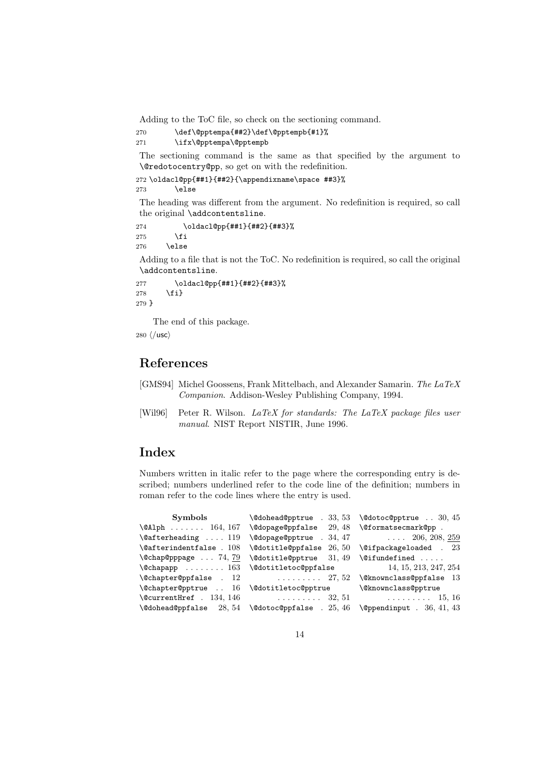Adding to the ToC file, so check on the sectioning command.

270 \def\@pptempa{##2}\def\@pptempb{#1}%

```
271 \ifx\@pptempa\@pptempb
```
The sectioning command is the same as that specified by the argument to \@redotocentry@pp, so get on with the redefinition.

```
272 \oldacl@pp{##1}{##2}{\appendixname\space ##3}%
273 \else
```
The heading was different from the argument. No redefinition is required, so call the original \addcontentsline.

```
274 \oldacl@pp{##1}{##2}{##3}%
275 \setminusfi
276 \else
```
Adding to a file that is not the ToC. No redefinition is required, so call the original \addcontentsline.

```
277 \oldacl@pp{##1}{##2}{##3}%
278 \fi}
279 }
```
The end of this package.

280  $\langle$ /usc $\rangle$ 

## References

- [GMS94] Michel Goossens, Frank Mittelbach, and Alexander Samarin. The LaTeX Companion. Addison-Wesley Publishing Company, 1994.
- [Wil96] Peter R. Wilson. LaTeX for standards: The LaTeX package files user manual. NIST Report NISTIR, June 1996.

## **Index**

Numbers written in italic refer to the page where the corresponding entry is described; numbers underlined refer to the code line of the definition; numbers in roman refer to the code lines where the entry is used.

```
Symbols
\@Alph . . . . . . . 164, 167
\@afterheading . . . . 119
\@afterindentfalse . 108
\@chap@pppage . . . 74, 79
\@chapapp . . . . . . . . 163
\@chapter@ppfalse . 12
\@chapter@pptrue . . 16
\@currentHref . 134, 146
\@dohead@ppfalse 28, 54
                            \@dohead@pptrue . 33, 53
                           \@dopage@ppfalse 29, 48
                           \@dopage@pptrue . 34, 47
                           \@dotitle@ppfalse 26, 50
                           \@dotitle@pptrue 31, 49
                            \@dotitletoc@ppfalse
                                  . . . . . . . . . 27, 52
                            \@dotitletoc@pptrue
                                  . . . . . . . . . 32, 51
                           \@dotoc@ppfalse . 25, 46
                                                        \@dotoc@pptrue . . 30, 45
                                                        \@formatsecmark@pp .
                                                               . . . . 206, 208, 259
                                                        \@ifpackageloaded . 23
                                                        \@ifundefined . . . . .
                                                               14, 15, 213, 247, 254
                                                        \@knownclass@ppfalse 13
                                                        \@knownclass@pptrue
                                                               . . . . . . . . . 15, 16
                                                       \@ppendinput . 36, 41, 43
```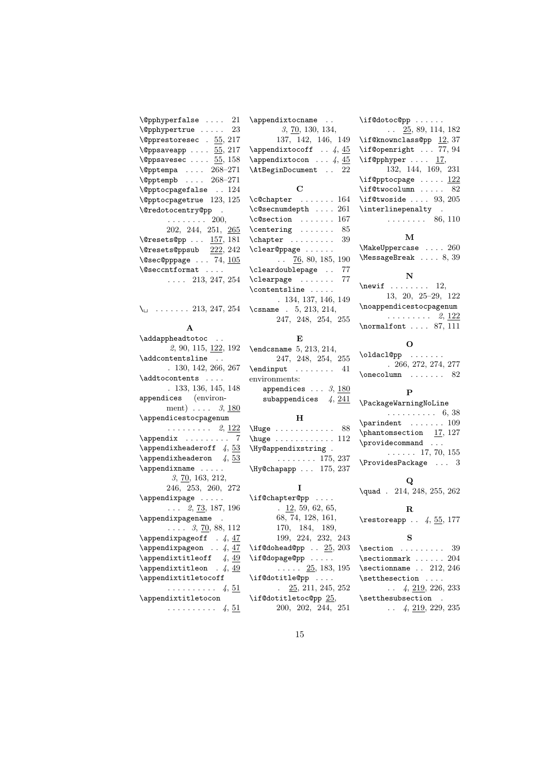| $\left\langle \text{opphyperfalse} \right\rangle \dots \quad 21$<br>$\qquad$<br>$\text{opprestore}$ . $55, 217$               |
|-------------------------------------------------------------------------------------------------------------------------------|
| $\text{Qppsaveapp} \dots \frac{55}{217}$<br>$\text{Qppsavesec} \dots 55, 158$                                                 |
| $\left\langle \text{Qpptempa} \dots \right\rangle$ 268-271<br>\@pptempb  268-271                                              |
| $\text{Qpptocpagefalse}$ . 124<br><b><i><u>Opptocpagetrue</u></i></b> 123, 125                                                |
| \@redotocentry@pp .<br>$\cdots \cdots \cdots 200,$                                                                            |
| 202, 244, 251, 265<br>$\text{Qressets@pp \dots} 157, 181$                                                                     |
| $\text{Qressets@ppsub}$ $\frac{222}{242}$<br>$\texttt{\textbackslash}$ esec@pppage  74, $\underline{105}$<br>\@seccntformat . |
| $\ldots$ 213, 247, 254                                                                                                        |
| $\ldots$ 213, 247, 254<br>∖∟                                                                                                  |
| $\mathbf{A}$                                                                                                                  |
| \addappheadtotoc .<br>2, 90, 115, 122, 192                                                                                    |
| \addcontentsline<br>.130, 142, 266, 267                                                                                       |
| \addtocontents<br>. 133, 136, 145, 148                                                                                        |
| appendices (environ-<br>ment) $\ldots$ 3, 180                                                                                 |
| \appendicestocpagenum<br>$\ldots \ldots \ldots 2, 122$                                                                        |
| $\operatorname{Appendix}$ 7<br>$\Delta$ ppendixheaderoff 4, 53                                                                |
| $\Delta$ ppendixheaderon 4, 53<br>\appendixname                                                                               |
| 3, 70, 163, 212,                                                                                                              |

246, 253, 260, 272 \appendixpage . . . . .  $\ldots$  2, 73, 187, 196 \appendixpagename .  $\ldots$  3, 70, 88, 112  $\operatorname{\mathcal{A}}$  . 4,  $\frac{47}{47}$  $\operatorname{\mathcal{A}}$  . . 4,  $\frac{47}{47}$ \appendixtitleoff  $4, 49$  $\alpha$ . 4, 49 \appendixtitletocoff  $\ldots \ldots \ldots 4, 51$ \appendixtitletocon . . . . . . . . . . 4,  $51$ 

3, 70, 130, 134, 137, 142, 146, 149  $\Omega$ xtocoff . . 4, 45  $\operatorname{Lappendixtocon}$  ...  $4, 45$ \AtBeginDocument . . 22  $\mathbf C$ \c@chapter . . . . . . . 164 \c@secnumdepth . . . . 261 \c@section . . . . . . . 167  $\centerdot \$  ....... 85 \chapter . . . . . . . . . 39 \clear@ppage . . . . . .  $\ldots$  76, 80, 185, 190 \cleardoublepage . . 77 \clearpage ....... 77 \contentsline . . . . . . 134, 137, 146, 149 \csname . 5, 213, 214, 247, 248, 254, 255 E

\appendixtocname ..

| $\end{math}$ csname 5, 213, 214,  |                    |  |
|-----------------------------------|--------------------|--|
|                                   | 247, 248, 254, 255 |  |
| $\end{input}$ 41                  |                    |  |
| environments:                     |                    |  |
| appendices $\ldots$ 3, 180        |                    |  |
| subappendices $\frac{1}{4}$ , 241 |                    |  |
|                                   |                    |  |

### H

| $\text{Huge}$ 88                       |  |  |  |  |  |  |            |
|----------------------------------------|--|--|--|--|--|--|------------|
| $\hbox{huge} \ldots \ldots \ldots 112$ |  |  |  |  |  |  |            |
| \Hy@appendixstring.                    |  |  |  |  |  |  |            |
|                                        |  |  |  |  |  |  | . 175, 237 |
| \Hy@chapapp  175, 237                  |  |  |  |  |  |  |            |

### I

\if@chapter@pp ....  $\frac{12}{59}$ , 62, 65, 68, 74, 128, 161, 170, 184, 189, 199, 224, 232, 243 \if@dohead@pp  $. 25, 203$ \if@dopage@pp . . . . .  $\ldots$  .  $25, 183, 195$ \if@dotitle@pp .... . 25, 211, 245, 252 \if@dotitletoc@pp 25, 200, 202, 244, 251 \if@dotoc@pp . . . . . . . . 25, 89, 114, 182 \if@knownclass@pp 12, 37 \if@openright ... 77, 94  $\iint \mathbb{Q}$ pphyper .... 17, 132, 144, 169, 231 \if@pptocpage  $\dots$  122  $\iint@twocolumn ... 82$ \if@twoside .... 93, 205 \interlinepenalty .  $\ldots \ldots \ldots 86, 110$ 

### M

\MakeUppercase . . . . 260 \MessageBreak . . . . 8, 39

## N

 $\neq$  . . . . . . . . 12, 13, 20, 25–29, 122 \noappendicestocpagenum . . . . . . . . . 2, 122 \normalfont .... 87, 111

### O

\oldacl@pp ....... . 266, 272, 274, 277  $\n\begin{bmatrix}\n\text{onecolumn} \dots \text{.} \end{bmatrix}$ 

### P

\PackageWarningNoLine . . . . . . . . . . 6, 38  $\partial$  . . . . . . . 109  $\phi$ 17, 127 \providecommand ...  $\ldots$  . . 17, 70, 155

## Q

\quad . 214, 248, 255, 262

\ProvidesPackage . . . 3

## R

 $\text{tree}$  . 4,  $\underline{55}$ , 177

## S

 $\verb+\section + \ldots + 39$ \sectionmark . . . . . 204 \sectionname .. 212, 246 \setthesection . . . .  $\ldots$  4, 219, 226, 233 \setthesubsection .  $\ldots$  4, 219, 229, 235